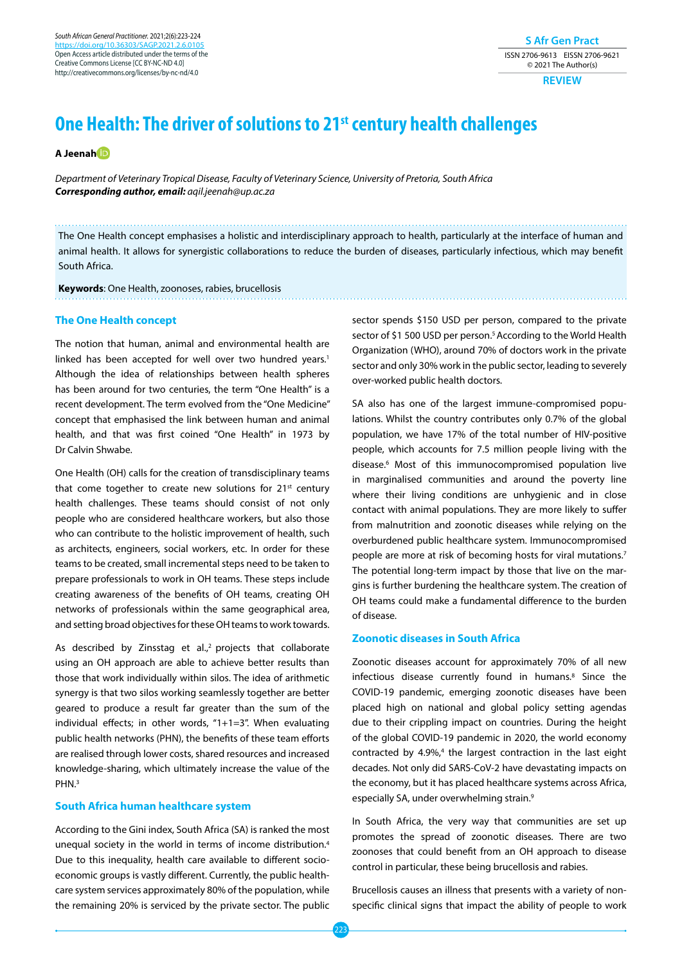*South African General Practitioner.* 2021;2(6):223-224 [https://doi.org/10.36303/SAGP.2021.2.6.0](https://doi.org/10.36303/SAGP.2021.2.6.0105)105 Open Access article distributed under the terms of the Creative Commons License [CC BY-NC-ND 4.0] http://creativecommons.org/licenses/by-nc-nd/4.0

**S Afr Gen Pract** ISSN 2706-9613 EISSN 2706-9621 © 2021 The Author(s)

**REVIEW**

# **One Health: The driver of solutions to 21st century health challenges**

**A Jeena[h](https://orcid.org/0000-0002-6790-6697)**

*Department of Veterinary Tropical Disease, Faculty of Veterinary Science, University of Pretoria, South Africa Corresponding author, email: aqil.jeenah@up.ac.za*

The One Health concept emphasises a holistic and interdisciplinary approach to health, particularly at the interface of human and animal health. It allows for synergistic collaborations to reduce the burden of diseases, particularly infectious, which may benefit South Africa.

**Keywords**: One Health, zoonoses, rabies, brucellosis

#### **The One Health concept**

The notion that human, animal and environmental health are linked has been accepted for well over two hundred vears.<sup>1</sup> Although the idea of relationships between health spheres has been around for two centuries, the term "One Health" is a recent development. The term evolved from the "One Medicine" concept that emphasised the link between human and animal health, and that was first coined "One Health" in 1973 by Dr Calvin Shwabe.

One Health (OH) calls for the creation of transdisciplinary teams that come together to create new solutions for  $21^{st}$  century health challenges. These teams should consist of not only people who are considered healthcare workers, but also those who can contribute to the holistic improvement of health, such as architects, engineers, social workers, etc. In order for these teams to be created, small incremental steps need to be taken to prepare professionals to work in OH teams. These steps include creating awareness of the benefits of OH teams, creating OH networks of professionals within the same geographical area, and setting broad objectives for these OH teams to work towards.

As described by Zinsstag et al.,<sup>2</sup> projects that collaborate using an OH approach are able to achieve better results than those that work individually within silos. The idea of arithmetic synergy is that two silos working seamlessly together are better geared to produce a result far greater than the sum of the individual effects; in other words, "1+1=3". When evaluating public health networks (PHN), the benefits of these team efforts are realised through lower costs, shared resources and increased knowledge-sharing, which ultimately increase the value of the PHN.3

## **South Africa human healthcare system**

According to the Gini index, South Africa (SA) is ranked the most unequal society in the world in terms of income distribution.4 Due to this inequality, health care available to different socioeconomic groups is vastly different. Currently, the public healthcare system services approximately 80% of the population, while the remaining 20% is serviced by the private sector. The public sector spends \$150 USD per person, compared to the private sector of \$1 500 USD per person.<sup>5</sup> According to the World Health Organization (WHO), around 70% of doctors work in the private sector and only 30% work in the public sector, leading to severely over-worked public health doctors.

SA also has one of the largest immune-compromised populations. Whilst the country contributes only 0.7% of the global population, we have 17% of the total number of HIV-positive people, which accounts for 7.5 million people living with the disease.6 Most of this immunocompromised population live in marginalised communities and around the poverty line where their living conditions are unhygienic and in close contact with animal populations. They are more likely to suffer from malnutrition and zoonotic diseases while relying on the overburdened public healthcare system. Immunocompromised people are more at risk of becoming hosts for viral mutations.<sup>7</sup> The potential long-term impact by those that live on the margins is further burdening the healthcare system. The creation of OH teams could make a fundamental difference to the burden of disease.

#### **Zoonotic diseases in South Africa**

Zoonotic diseases account for approximately 70% of all new infectious disease currently found in humans.<sup>8</sup> Since the COVID-19 pandemic, emerging zoonotic diseases have been placed high on national and global policy setting agendas due to their crippling impact on countries. During the height of the global COVID-19 pandemic in 2020, the world economy contracted by  $4.9\%,^4$  the largest contraction in the last eight decades. Not only did SARS-CoV-2 have devastating impacts on the economy, but it has placed healthcare systems across Africa, especially SA, under overwhelming strain.<sup>9</sup>

In South Africa, the very way that communities are set up promotes the spread of zoonotic diseases. There are two zoonoses that could benefit from an OH approach to disease control in particular, these being brucellosis and rabies.

Brucellosis causes an illness that presents with a variety of nonspecific clinical signs that impact the ability of people to work